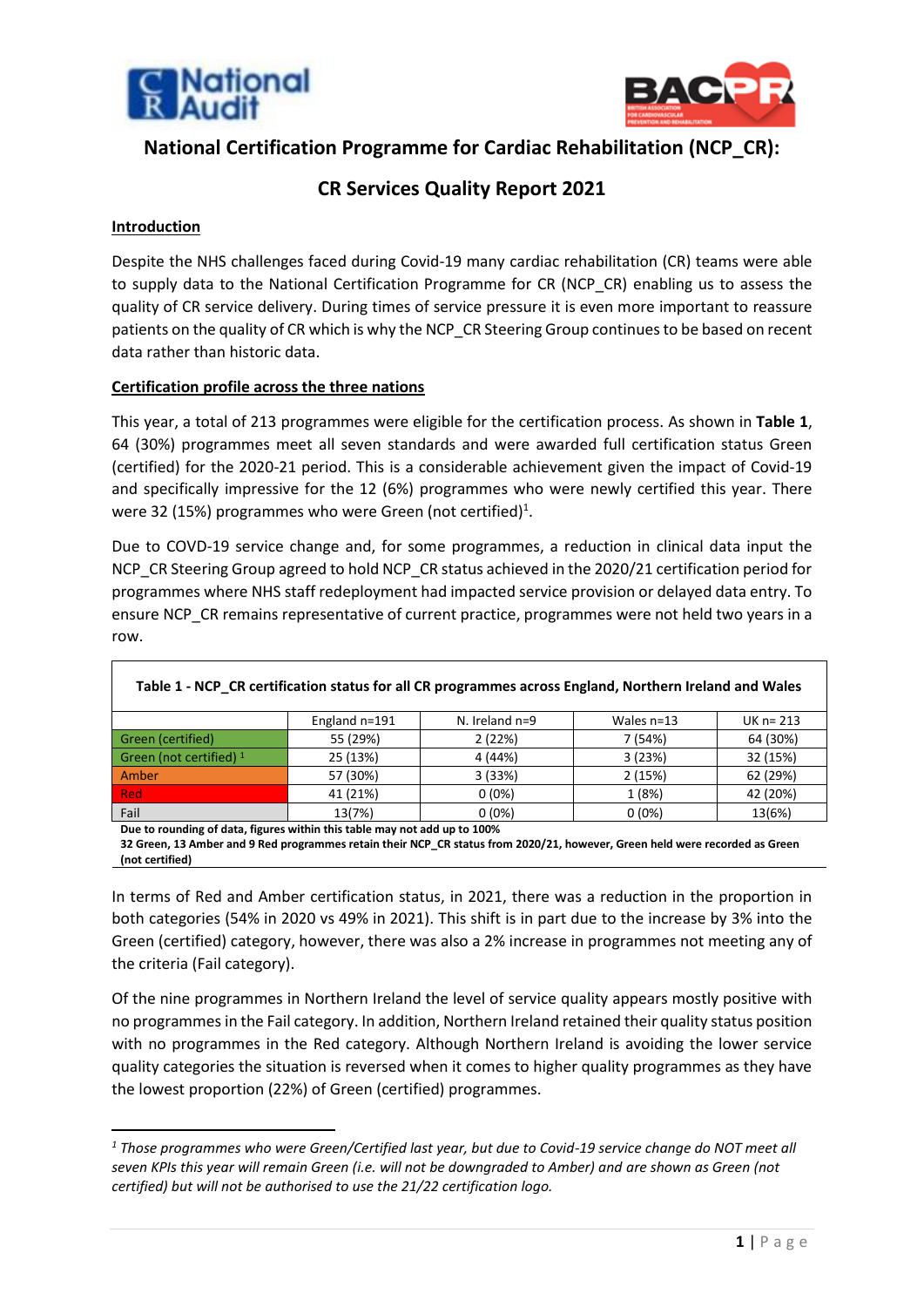



# **National Certification Programme for Cardiac Rehabilitation (NCP\_CR):**

# **CR Services Quality Report 2021**

## **Introduction**

Despite the NHS challenges faced during Covid-19 many cardiac rehabilitation (CR) teams were able to supply data to the National Certification Programme for CR (NCP\_CR) enabling us to assess the quality of CR service delivery. During times of service pressure it is even more important to reassure patients on the quality of CR which is why the NCP\_CR Steering Group continues to be based on recent data rather than historic data.

### **Certification profile across the three nations**

This year, a total of 213 programmes were eligible for the certification process. As shown in **Table 1**, 64 (30%) programmes meet all seven standards and were awarded full certification status Green (certified) for the 2020-21 period. This is a considerable achievement given the impact of Covid-19 and specifically impressive for the 12 (6%) programmes who were newly certified this year. There were 32 (15%) programmes who were Green (not certified)<sup>1</sup>.

Due to COVD-19 service change and, for some programmes, a reduction in clinical data input the NCP\_CR Steering Group agreed to hold NCP\_CR status achieved in the 2020/21 certification period for programmes where NHS staff redeployment had impacted service provision or delayed data entry. To ensure NCP\_CR remains representative of current practice, programmes were not held two years in a row.

|                           | England $n=191$ | N. Ireland $n=9$ | Wales $n=13$ | UK $n = 213$ |
|---------------------------|-----------------|------------------|--------------|--------------|
| Green (certified)         | 55 (29%)        | 2(22%)           | 7(54%)       | 64 (30%)     |
| Green (not certified) $1$ | 25 (13%)        | 4 (44%)          | 3(23%)       | 32 (15%)     |
| Amber                     | 57 (30%)        | 3(33%)           | 2(15%)       | 62 (29%)     |
| <b>Red</b>                | 41 (21%)        | $0(0\%)$         | 1 (8%)       | 42 (20%)     |
| Fail                      | 13(7%)          | $0(0\%)$         | $0(0\%)$     | 13(6%)       |

**Table 1 - NCP\_CR certification status for all CR programmes across England, Northern Ireland and Wales**

**Due to rounding of data, figures within this table may not add up to 100%**

**32 Green, 13 Amber and 9 Red programmes retain their NCP\_CR status from 2020/21, however, Green held were recorded as Green (not certified)** 

In terms of Red and Amber certification status, in 2021, there was a reduction in the proportion in both categories (54% in 2020 vs 49% in 2021). This shift is in part due to the increase by 3% into the Green (certified) category, however, there was also a 2% increase in programmes not meeting any of the criteria (Fail category).

Of the nine programmes in Northern Ireland the level of service quality appears mostly positive with no programmes in the Fail category. In addition, Northern Ireland retained their quality status position with no programmes in the Red category. Although Northern Ireland is avoiding the lower service quality categories the situation is reversed when it comes to higher quality programmes as they have the lowest proportion (22%) of Green (certified) programmes.

*<sup>1</sup> Those programmes who were Green/Certified last year, but due to Covid-19 service change do NOT meet all seven KPIs this year will remain Green (i.e. will not be downgraded to Amber) and are shown as Green (not certified) but will not be authorised to use the 21/22 certification logo.*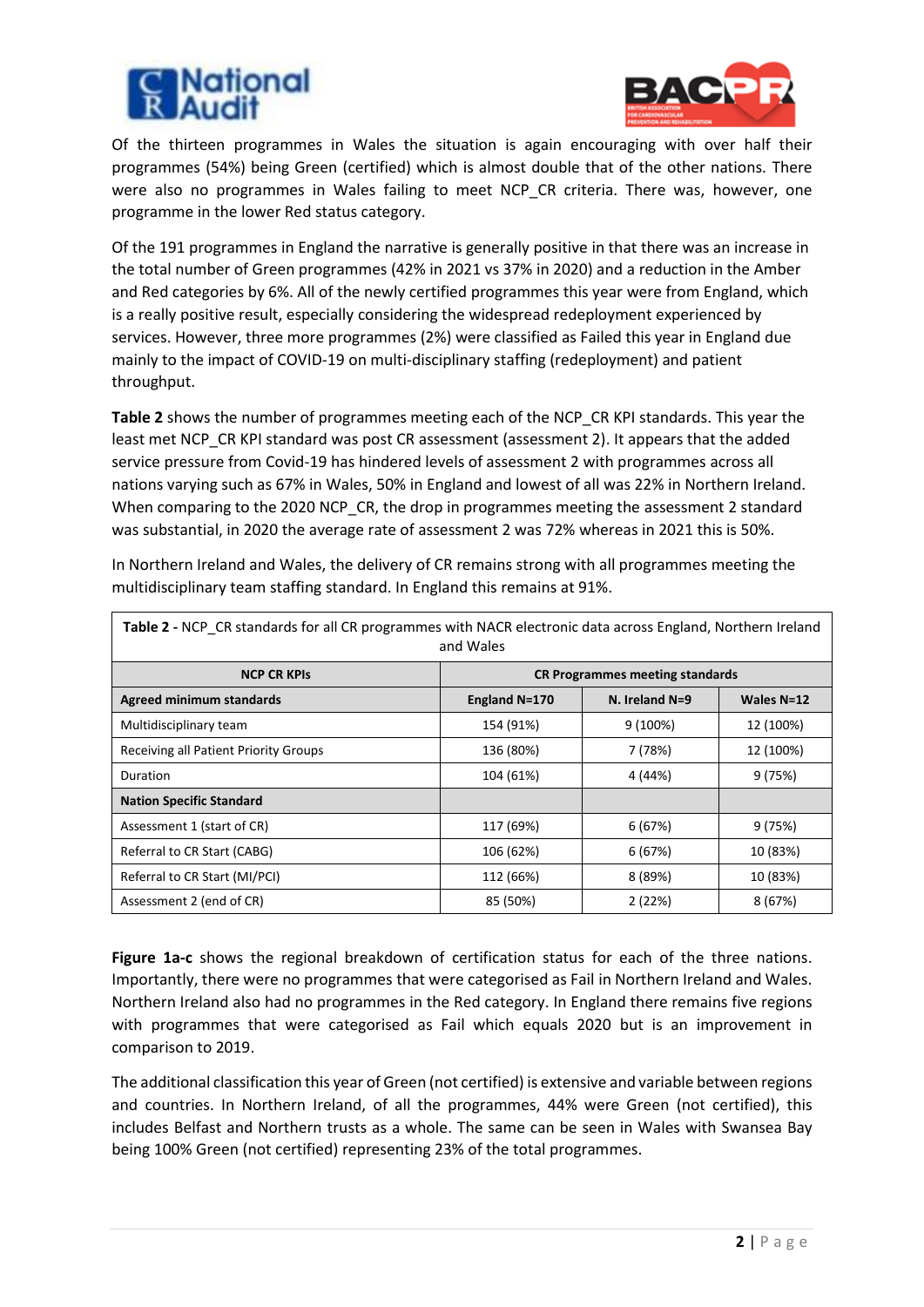



Of the thirteen programmes in Wales the situation is again encouraging with over half their programmes (54%) being Green (certified) which is almost double that of the other nations. There were also no programmes in Wales failing to meet NCP CR criteria. There was, however, one programme in the lower Red status category.

Of the 191 programmes in England the narrative is generally positive in that there was an increase in the total number of Green programmes (42% in 2021 vs 37% in 2020) and a reduction in the Amber and Red categories by 6%. All of the newly certified programmes this year were from England, which is a really positive result, especially considering the widespread redeployment experienced by services. However, three more programmes (2%) were classified as Failed this year in England due mainly to the impact of COVID-19 on multi-disciplinary staffing (redeployment) and patient throughput.

**Table 2** shows the number of programmes meeting each of the NCP\_CR KPI standards. This year the least met NCP\_CR KPI standard was post CR assessment (assessment 2). It appears that the added service pressure from Covid-19 has hindered levels of assessment 2 with programmes across all nations varying such as 67% in Wales, 50% in England and lowest of all was 22% in Northern Ireland. When comparing to the 2020 NCP\_CR, the drop in programmes meeting the assessment 2 standard was substantial, in 2020 the average rate of assessment 2 was 72% whereas in 2021 this is 50%.

| Table 2 - NCP CR standards for all CR programmes with NACR electronic data across England, Northern Ireland<br>and Wales |               |                                        |              |  |  |
|--------------------------------------------------------------------------------------------------------------------------|---------------|----------------------------------------|--------------|--|--|
| <b>NCP CR KPIS</b>                                                                                                       |               | <b>CR Programmes meeting standards</b> |              |  |  |
| <b>Agreed minimum standards</b>                                                                                          | England N=170 | $N.$ Ireland $N=9$                     | Wales $N=12$ |  |  |
| Multidisciplinary team                                                                                                   | 154 (91%)     | 9 (100%)                               | 12 (100%)    |  |  |
| <b>Receiving all Patient Priority Groups</b>                                                                             | 136 (80%)     | 7 (78%)                                | 12 (100%)    |  |  |
| Duration                                                                                                                 | 104 (61%)     | 4 (44%)                                | 9(75%)       |  |  |
| <b>Nation Specific Standard</b>                                                                                          |               |                                        |              |  |  |
| Assessment 1 (start of CR)                                                                                               | 117 (69%)     | 6(67%)                                 | 9(75%)       |  |  |
| Referral to CR Start (CABG)                                                                                              | 106 (62%)     | 6(67%)                                 | 10 (83%)     |  |  |
| Referral to CR Start (MI/PCI)                                                                                            | 112 (66%)     | 8 (89%)                                | 10 (83%)     |  |  |
| Assessment 2 (end of CR)                                                                                                 | 85 (50%)      | 2(22%)                                 | 8(67%)       |  |  |

In Northern Ireland and Wales, the delivery of CR remains strong with all programmes meeting the multidisciplinary team staffing standard. In England this remains at 91%.

**Figure 1a-c** shows the regional breakdown of certification status for each of the three nations. Importantly, there were no programmes that were categorised as Fail in Northern Ireland and Wales. Northern Ireland also had no programmes in the Red category. In England there remains five regions with programmes that were categorised as Fail which equals 2020 but is an improvement in comparison to 2019.

The additional classification this year of Green (not certified) is extensive and variable between regions and countries. In Northern Ireland, of all the programmes, 44% were Green (not certified), this includes Belfast and Northern trusts as a whole. The same can be seen in Wales with Swansea Bay being 100% Green (not certified) representing 23% of the total programmes.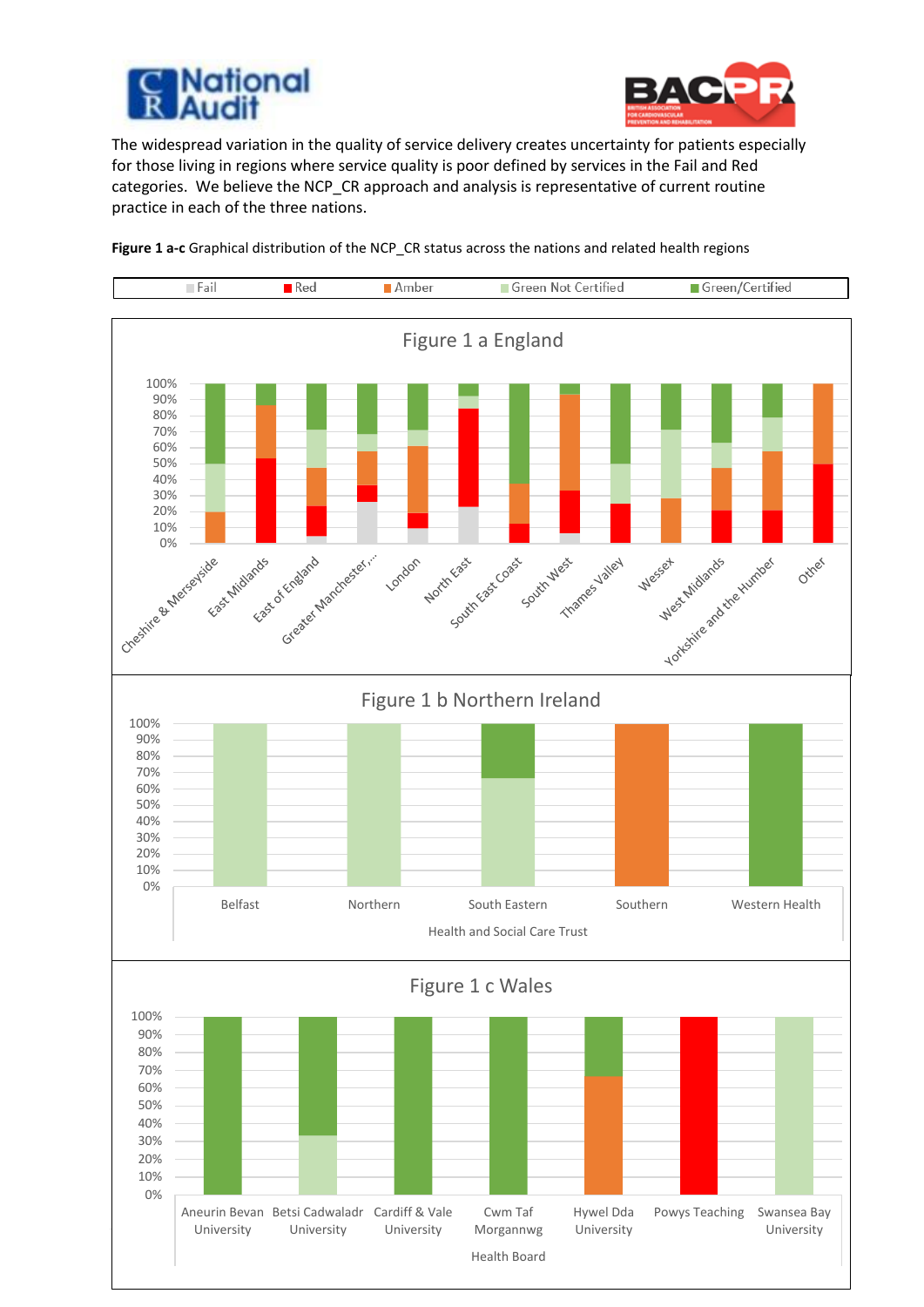



The widespread variation in the quality of service delivery creates uncertainty for patients especially for those living in regions where service quality is poor defined by services in the Fail and Red categories. We believe the NCP\_CR approach and analysis is representative of current routine practice in each of the three nations.



**Figure 1 a-c** Graphical distribution of the NCP\_CR status across the nations and related health regions